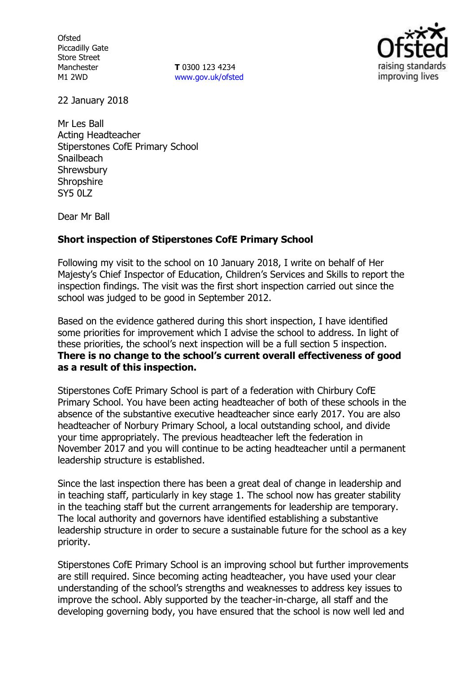**Ofsted** Piccadilly Gate Store Street Manchester M1 2WD

**T** 0300 123 4234 www.gov.uk/ofsted



22 January 2018

Mr Les Ball Acting Headteacher Stiperstones CofE Primary School **Snailbeach** Shrewsbury Shropshire SY5 0LZ

Dear Mr Ball

## **Short inspection of Stiperstones CofE Primary School**

Following my visit to the school on 10 January 2018, I write on behalf of Her Majesty's Chief Inspector of Education, Children's Services and Skills to report the inspection findings. The visit was the first short inspection carried out since the school was judged to be good in September 2012.

Based on the evidence gathered during this short inspection, I have identified some priorities for improvement which I advise the school to address. In light of these priorities, the school's next inspection will be a full section 5 inspection. **There is no change to the school's current overall effectiveness of good as a result of this inspection.**

Stiperstones CofE Primary School is part of a federation with Chirbury CofE Primary School. You have been acting headteacher of both of these schools in the absence of the substantive executive headteacher since early 2017. You are also headteacher of Norbury Primary School, a local outstanding school, and divide your time appropriately. The previous headteacher left the federation in November 2017 and you will continue to be acting headteacher until a permanent leadership structure is established.

Since the last inspection there has been a great deal of change in leadership and in teaching staff, particularly in key stage 1. The school now has greater stability in the teaching staff but the current arrangements for leadership are temporary. The local authority and governors have identified establishing a substantive leadership structure in order to secure a sustainable future for the school as a key priority.

Stiperstones CofE Primary School is an improving school but further improvements are still required. Since becoming acting headteacher, you have used your clear understanding of the school's strengths and weaknesses to address key issues to improve the school. Ably supported by the teacher-in-charge, all staff and the developing governing body, you have ensured that the school is now well led and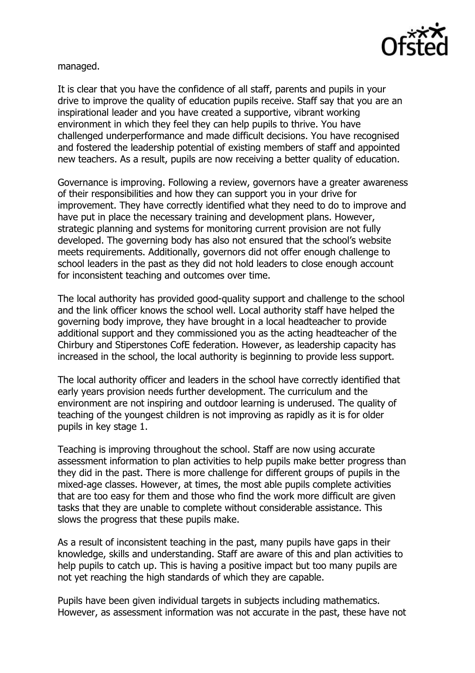

managed.

It is clear that you have the confidence of all staff, parents and pupils in your drive to improve the quality of education pupils receive. Staff say that you are an inspirational leader and you have created a supportive, vibrant working environment in which they feel they can help pupils to thrive. You have challenged underperformance and made difficult decisions. You have recognised and fostered the leadership potential of existing members of staff and appointed new teachers. As a result, pupils are now receiving a better quality of education.

Governance is improving. Following a review, governors have a greater awareness of their responsibilities and how they can support you in your drive for improvement. They have correctly identified what they need to do to improve and have put in place the necessary training and development plans. However, strategic planning and systems for monitoring current provision are not fully developed. The governing body has also not ensured that the school's website meets requirements. Additionally, governors did not offer enough challenge to school leaders in the past as they did not hold leaders to close enough account for inconsistent teaching and outcomes over time.

The local authority has provided good-quality support and challenge to the school and the link officer knows the school well. Local authority staff have helped the governing body improve, they have brought in a local headteacher to provide additional support and they commissioned you as the acting headteacher of the Chirbury and Stiperstones CofE federation. However, as leadership capacity has increased in the school, the local authority is beginning to provide less support.

The local authority officer and leaders in the school have correctly identified that early years provision needs further development. The curriculum and the environment are not inspiring and outdoor learning is underused. The quality of teaching of the youngest children is not improving as rapidly as it is for older pupils in key stage 1.

Teaching is improving throughout the school. Staff are now using accurate assessment information to plan activities to help pupils make better progress than they did in the past. There is more challenge for different groups of pupils in the mixed-age classes. However, at times, the most able pupils complete activities that are too easy for them and those who find the work more difficult are given tasks that they are unable to complete without considerable assistance. This slows the progress that these pupils make.

As a result of inconsistent teaching in the past, many pupils have gaps in their knowledge, skills and understanding. Staff are aware of this and plan activities to help pupils to catch up. This is having a positive impact but too many pupils are not yet reaching the high standards of which they are capable.

Pupils have been given individual targets in subjects including mathematics. However, as assessment information was not accurate in the past, these have not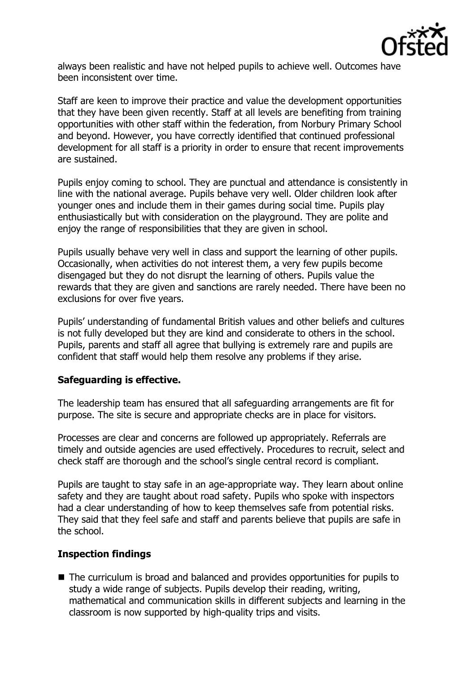

always been realistic and have not helped pupils to achieve well. Outcomes have been inconsistent over time.

Staff are keen to improve their practice and value the development opportunities that they have been given recently. Staff at all levels are benefiting from training opportunities with other staff within the federation, from Norbury Primary School and beyond. However, you have correctly identified that continued professional development for all staff is a priority in order to ensure that recent improvements are sustained.

Pupils enjoy coming to school. They are punctual and attendance is consistently in line with the national average. Pupils behave very well. Older children look after younger ones and include them in their games during social time. Pupils play enthusiastically but with consideration on the playground. They are polite and enjoy the range of responsibilities that they are given in school.

Pupils usually behave very well in class and support the learning of other pupils. Occasionally, when activities do not interest them, a very few pupils become disengaged but they do not disrupt the learning of others. Pupils value the rewards that they are given and sanctions are rarely needed. There have been no exclusions for over five years.

Pupils' understanding of fundamental British values and other beliefs and cultures is not fully developed but they are kind and considerate to others in the school. Pupils, parents and staff all agree that bullying is extremely rare and pupils are confident that staff would help them resolve any problems if they arise.

## **Safeguarding is effective.**

The leadership team has ensured that all safeguarding arrangements are fit for purpose. The site is secure and appropriate checks are in place for visitors.

Processes are clear and concerns are followed up appropriately. Referrals are timely and outside agencies are used effectively. Procedures to recruit, select and check staff are thorough and the school's single central record is compliant.

Pupils are taught to stay safe in an age-appropriate way. They learn about online safety and they are taught about road safety. Pupils who spoke with inspectors had a clear understanding of how to keep themselves safe from potential risks. They said that they feel safe and staff and parents believe that pupils are safe in the school.

## **Inspection findings**

■ The curriculum is broad and balanced and provides opportunities for pupils to study a wide range of subjects. Pupils develop their reading, writing, mathematical and communication skills in different subjects and learning in the classroom is now supported by high-quality trips and visits.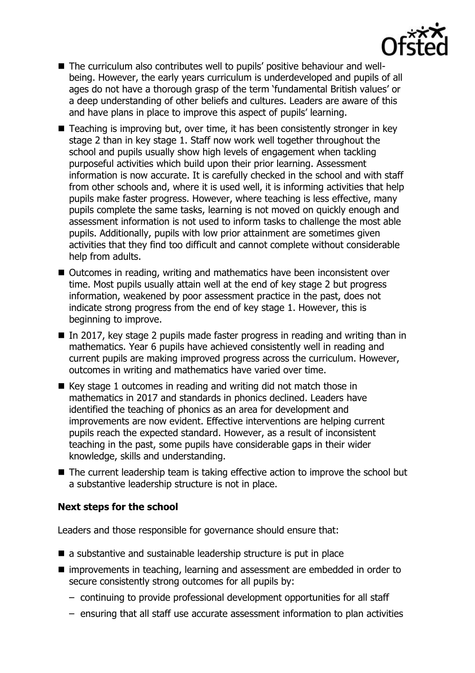- The curriculum also contributes well to pupils' positive behaviour and wellbeing. However, the early years curriculum is underdeveloped and pupils of all ages do not have a thorough grasp of the term 'fundamental British values' or a deep understanding of other beliefs and cultures. Leaders are aware of this and have plans in place to improve this aspect of pupils' learning.
- Teaching is improving but, over time, it has been consistently stronger in key stage 2 than in key stage 1. Staff now work well together throughout the school and pupils usually show high levels of engagement when tackling purposeful activities which build upon their prior learning. Assessment information is now accurate. It is carefully checked in the school and with staff from other schools and, where it is used well, it is informing activities that help pupils make faster progress. However, where teaching is less effective, many pupils complete the same tasks, learning is not moved on quickly enough and assessment information is not used to inform tasks to challenge the most able pupils. Additionally, pupils with low prior attainment are sometimes given activities that they find too difficult and cannot complete without considerable help from adults.
- Outcomes in reading, writing and mathematics have been inconsistent over time. Most pupils usually attain well at the end of key stage 2 but progress information, weakened by poor assessment practice in the past, does not indicate strong progress from the end of key stage 1. However, this is beginning to improve.
- In 2017, key stage 2 pupils made faster progress in reading and writing than in mathematics. Year 6 pupils have achieved consistently well in reading and current pupils are making improved progress across the curriculum. However, outcomes in writing and mathematics have varied over time.
- $\blacksquare$  Key stage 1 outcomes in reading and writing did not match those in mathematics in 2017 and standards in phonics declined. Leaders have identified the teaching of phonics as an area for development and improvements are now evident. Effective interventions are helping current pupils reach the expected standard. However, as a result of inconsistent teaching in the past, some pupils have considerable gaps in their wider knowledge, skills and understanding.
- The current leadership team is taking effective action to improve the school but a substantive leadership structure is not in place.

# **Next steps for the school**

Leaders and those responsible for governance should ensure that:

- a substantive and sustainable leadership structure is put in place
- improvements in teaching, learning and assessment are embedded in order to secure consistently strong outcomes for all pupils by:
	- continuing to provide professional development opportunities for all staff
	- ensuring that all staff use accurate assessment information to plan activities